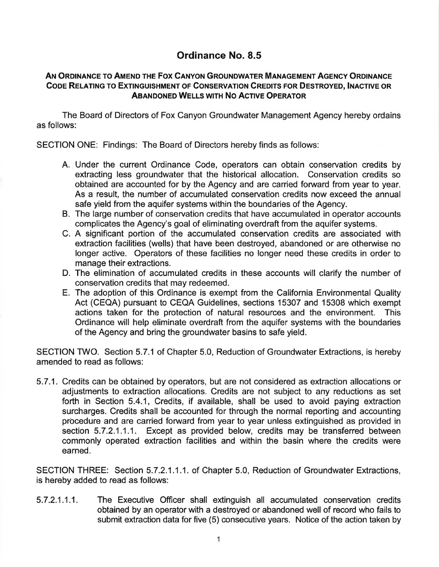## Ordinance No. 8.5

## AN ORDINANCE TO AMEND THE FOX CANYON GROUNDWATER MANAGEMENT AGENCY ORDINANCE CODE RELATING TO EXTINGUISHMENT OF CONSERVATION CREDITS FOR DESTROYED, INACTIVE OR ABANDONED WELLS WITH No ACTIVE OPERATOR

The Board of Directors of Fox Canyon Groundwater Management Agency hereby ordains as follows:

SECTION ONE: Findings: The Board of Directors hereby finds as follows:

- A. Under the current Ordinance Code, operators can obtain conservation credits by extracting less groundwater that the historical allocation. Conservation credits so obtained are accounted for by the Agency and are carried forward from year to year. As a result, the number of accumulated conservation credits now exceed the annual safe yield from the aquifer systems within the boundaries of the Agency.
- B. The large number of conservation credits that have accumulated in operator accounts complicates the Agency's goal of eliminating overdraft from the aquifer systems.
- C. A significant portion of the accumulated conservation credits are associated with extraction facilities (wells) that have been destroyed, abandoned or are otherwise no longer active. Operators of these facilities no longer need these credits in order to manage their extractions.
- D. The elimination of accumulated credits in these accounts will clarify the number of conservation credits that may redeemed.
- E. The adoption of this Ordinance is exempt from the California Environmental Quality Act (CEQA) pursuant to CEQA Guidelines, sections 15307 and 15308 which exempt actions taken for the protection of natural resources and the environment. This Ordinance will help eliminate overdraft from the aquifer systems with the boundaries of the Agency and bring the groundwater basins to safe yield.

SECTION TWO. Section 5.7.1 of Chapter 5.0, Reduction of Groundwater Extractions, is hereby amended to read as follows:

5. 7 .1. Credits can be obtained by operators, but are not considered as extraction allocations or adjustments to extraction allocations. Credits are not subject to any reductions as set forth in Section 5.4.1, Credits, if available, shall be used to avoid paying extraction surcharges. Credits shall be accounted for through the normal reporting and accounting procedure and are carried forward from year to year unless extinguished as provided in section 5.7.2.1.1.1. Except as provided below, credits may be transferred between commonly operated extraction facilities and within the basin where the credits were earned.

SECTION THREE: Section 5.7.2.1.1.1. of Chapter 5.0, Reduction of Groundwater Extractions, is hereby added to read as follows:

5.7.2.1.1.1. The Executive Officer shall extinguish all accumulated conservation credits obtained by an operator with a destroyed or abandoned well of record who fails to submit extraction data for five (5) consecutive years. Notice of the action taken by